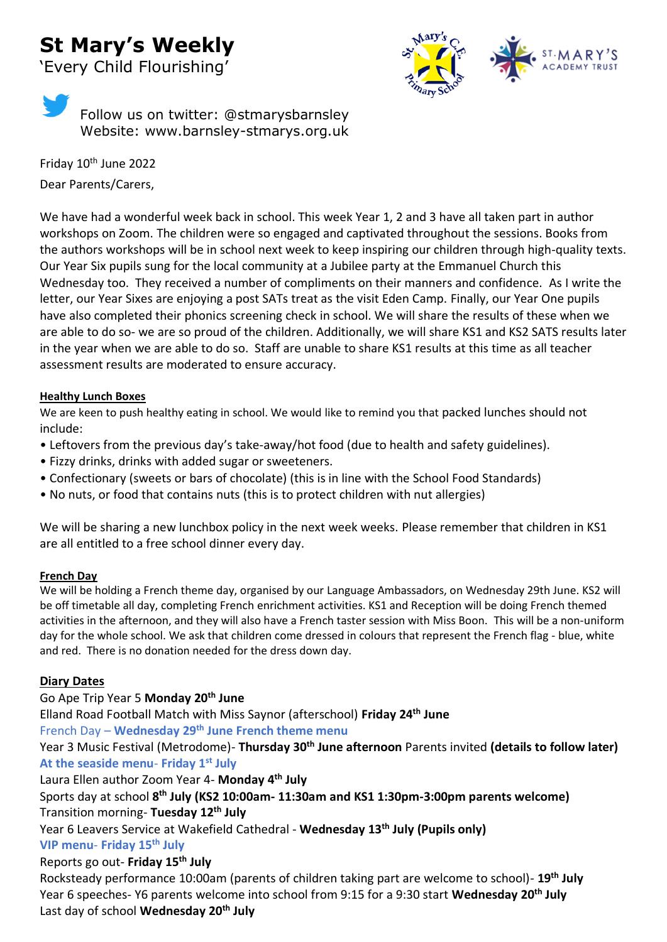# **St Mary's Weekly**

'Every Child Flourishing'





Friday 10<sup>th</sup> June 2022 Dear Parents/Carers,

We have had a wonderful week back in school. This week Year 1, 2 and 3 have all taken part in author workshops on Zoom. The children were so engaged and captivated throughout the sessions. Books from the authors workshops will be in school next week to keep inspiring our children through high-quality texts. Our Year Six pupils sung for the local community at a Jubilee party at the Emmanuel Church this Wednesday too. They received a number of compliments on their manners and confidence. As I write the letter, our Year Sixes are enjoying a post SATs treat as the visit Eden Camp. Finally, our Year One pupils have also completed their phonics screening check in school. We will share the results of these when we are able to do so- we are so proud of the children. Additionally, we will share KS1 and KS2 SATS results later in the year when we are able to do so. Staff are unable to share KS1 results at this time as all teacher assessment results are moderated to ensure accuracy.

#### **Healthy Lunch Boxes**

We are keen to push healthy eating in school. We would like to remind you that packed lunches should not include:

- Leftovers from the previous day's take-away/hot food (due to health and safety guidelines).
- Fizzy drinks, drinks with added sugar or sweeteners.
- Confectionary (sweets or bars of chocolate) (this is in line with the School Food Standards)
- No nuts, or food that contains nuts (this is to protect children with nut allergies)

We will be sharing a new lunchbox policy in the next week weeks. Please remember that children in KS1 are all entitled to a free school dinner every day.

#### **French Day**

We will be holding a French theme day, organised by our Language Ambassadors, on Wednesday 29th June. KS2 will be off timetable all day, completing French enrichment activities. KS1 and Reception will be doing French themed activities in the afternoon, and they will also have a French taster session with Miss Boon. This will be a non-uniform day for the whole school. We ask that children come dressed in colours that represent the French flag - blue, white and red. There is no donation needed for the dress down day.

# **Diary Dates**

#### Go Ape Trip Year 5 **Monday 20th June**

Elland Road Football Match with Miss Saynor (afterschool) **Friday 24th June**  French Day – **Wednesday 29th June French theme menu**

Year 3 Music Festival (Metrodome)- **Thursday 30th June afternoon** Parents invited **(details to follow later) At the seaside menu**- **Friday 1st July** 

#### Laura Ellen author Zoom Year 4- **Monday 4th July**

Sports day at school **8 th July (KS2 10:00am- 11:30am and KS1 1:30pm-3:00pm parents welcome)** Transition morning- **Tuesday 12th July** 

Year 6 Leavers Service at Wakefield Cathedral - **Wednesday 13th July (Pupils only)**

# **VIP menu**- **Friday 15th July**

# Reports go out- **Friday 15th July**

Rocksteady performance 10:00am (parents of children taking part are welcome to school)- **19th July**  Year 6 speeches- Y6 parents welcome into school from 9:15 for a 9:30 start **Wednesday 20th July** Last day of school **Wednesday 20th July**